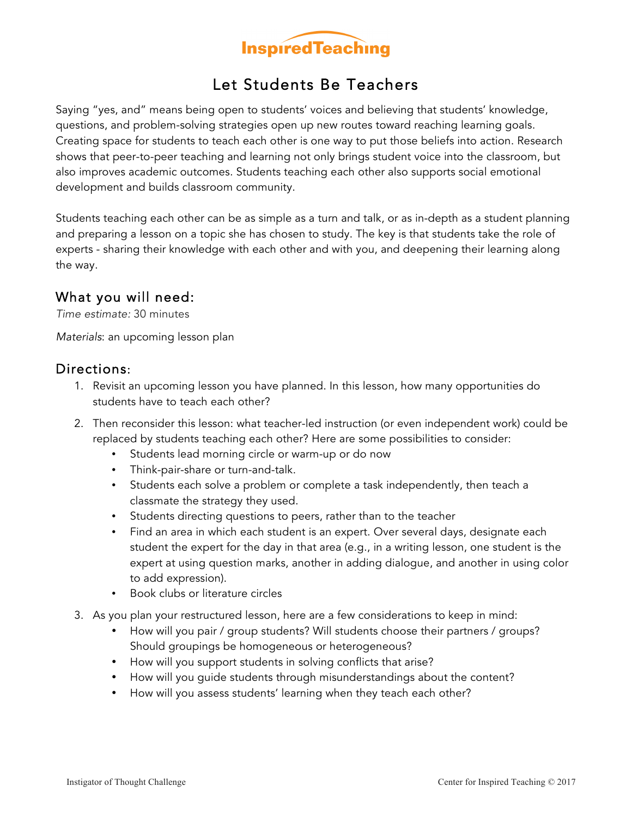

## Let Students Be Teachers

Saying "yes, and" means being open to students' voices and believing that students' knowledge, questions, and problem-solving strategies open up new routes toward reaching learning goals. Creating space for students to teach each other is one way to put those beliefs into action. Research shows that peer-to-peer teaching and learning not only brings student voice into the classroom, but also improves academic outcomes. Students teaching each other also supports social emotional development and builds classroom community.

Students teaching each other can be as simple as a turn and talk, or as in-depth as a student planning and preparing a lesson on a topic she has chosen to study. The key is that students take the role of experts - sharing their knowledge with each other and with you, and deepening their learning along the way.

## What you will need:

*Time estimate:* 30 minutes

*Materials*: an upcoming lesson plan

## Directions:

- 1. Revisit an upcoming lesson you have planned. In this lesson, how many opportunities do students have to teach each other?
- 2. Then reconsider this lesson: what teacher-led instruction (or even independent work) could be replaced by students teaching each other? Here are some possibilities to consider:
	- Students lead morning circle or warm-up or do now
	- Think-pair-share or turn-and-talk.
	- Students each solve a problem or complete a task independently, then teach a classmate the strategy they used.
	- Students directing questions to peers, rather than to the teacher
	- Find an area in which each student is an expert. Over several days, designate each student the expert for the day in that area (e.g., in a writing lesson, one student is the expert at using question marks, another in adding dialogue, and another in using color to add expression).
	- Book clubs or literature circles
- 3. As you plan your restructured lesson, here are a few considerations to keep in mind:
	- How will you pair / group students? Will students choose their partners / groups? Should groupings be homogeneous or heterogeneous?
	- How will you support students in solving conflicts that arise?
	- How will you guide students through misunderstandings about the content?
	- How will you assess students' learning when they teach each other?